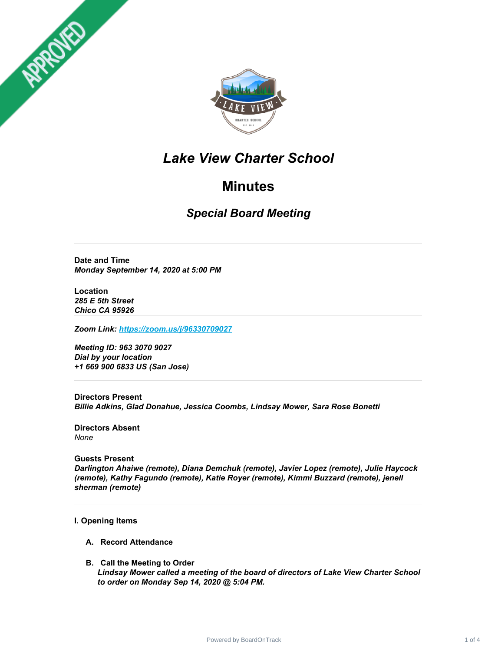



## *Lake View Charter School*

## **Minutes**

*Special Board Meeting*

**Date and Time** *Monday September 14, 2020 at 5:00 PM*

**Location** *285 E 5th Street Chico CA 95926*

*Zoom Link: <https://zoom.us/j/96330709027>*

*Meeting ID: 963 3070 9027 Dial by your location +1 669 900 6833 US (San Jose)*

**Directors Present** *Billie Adkins, Glad Donahue, Jessica Coombs, Lindsay Mower, Sara Rose Bonetti*

**Directors Absent** *None*

**Guests Present** *Darlington Ahaiwe (remote), Diana Demchuk (remote), Javier Lopez (remote), Julie Haycock (remote), Kathy Fagundo (remote), Katie Royer (remote), Kimmi Buzzard (remote), jenell sherman (remote)*

#### **I. Opening Items**

- **A. Record Attendance**
- **B. Call the Meeting to Order** *Lindsay Mower called a meeting of the board of directors of Lake View Charter School to order on Monday Sep 14, 2020 @ 5:04 PM.*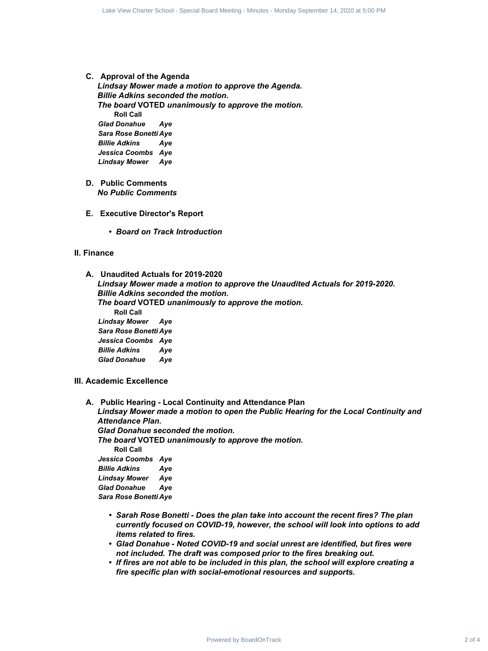#### **C. Approval of the Agenda**

*Lindsay Mower made a motion to approve the Agenda. Billie Adkins seconded the motion. The board* **VOTED** *unanimously to approve the motion.* **Roll Call** *Glad Donahue Aye Sara Rose Bonetti Aye Billie Adkins Aye Jessica Coombs Aye Lindsay Mower Aye*

- **D. Public Comments** *No Public Comments*
- **E. Executive Director's Report**
	- *• Board on Track Introduction*

#### **II. Finance**

**A. Unaudited Actuals for 2019-2020** *Lindsay Mower made a motion to approve the Unaudited Actuals for 2019-2020.*

*Billie Adkins seconded the motion. The board* **VOTED** *unanimously to approve the motion.* **Roll Call** *Lindsay Mower Aye Sara Rose Bonetti Aye Jessica Coombs Aye Billie Adkins Aye Glad Donahue Aye*

- **III. Academic Excellence**
- **A. Public Hearing - Local Continuity and Attendance Plan** *Lindsay Mower made a motion to open the Public Hearing for the Local Continuity and Attendance Plan. Glad Donahue seconded the motion. The board* **VOTED** *unanimously to approve the motion.* **Roll Call** *Jessica Coombs Aye Billie Adkins Aye Lindsay Mower Aye Glad Donahue Aye Sara Rose Bonetti Aye* ematical charter School - Special Contract 2 of 4 Lake View Charter 3 Contract 2 of 4 Lake View Charter 3 of 4 Lake View Charter 3 of 4 Lake View Charter 3 of 4 Lake View Charter School of the method.<br>
By Board VOTED unan
	- *• Sarah Rose Bonetti - Does the plan take into account the recent fires? The plan currently focused on COVID-19, however, the school will look into options to add items related to fires.*
	- *• Glad Donahue - Noted COVID-19 and social unrest are identified, but fires were not included. The draft was composed prior to the fires breaking out.*
	- *• If fires are not able to be included in this plan, the school will explore creating a fire specific plan with social-emotional resources and supports.*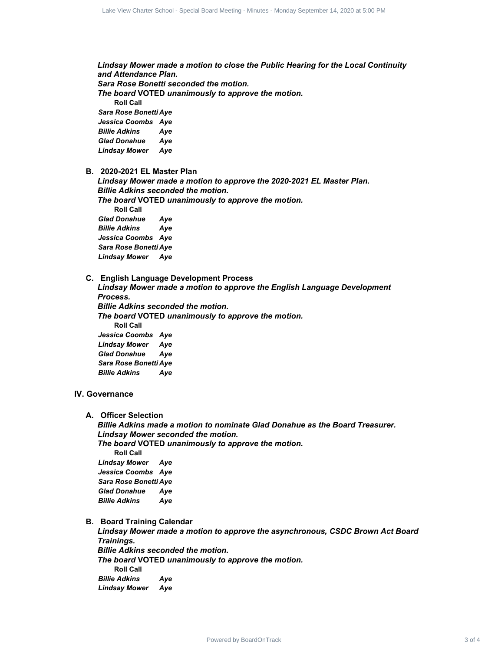*Lindsay Mower made a motion to close the Public Hearing for the Local Continuity and Attendance Plan. Sara Rose Bonetti seconded the motion. The board* **VOTED** *unanimously to approve the motion.* **Roll Call** *Sara Rose Bonetti Aye Jessica Coombs Aye Billie Adkins Aye Glad Donahue Aye Lindsay Mower Aye*

**B. 2020-2021 EL Master Plan**

*Lindsay Mower made a motion to approve the 2020-2021 EL Master Plan. Billie Adkins seconded the motion.*

*The board* **VOTED** *unanimously to approve the motion.* **Roll Call** *Glad Donahue Aye Billie Adkins Aye Jessica Coombs Aye Sara Rose Bonetti Aye Lindsay Mower Aye*

**C. English Language Development Process**

*Lindsay Mower made a motion to approve the English Language Development Process. Billie Adkins seconded the motion. The board* **VOTED** *unanimously to approve the motion.* **Roll Call** *Jessica Coombs Aye Lindsay Mower Aye*

*Glad Donahue Aye Sara Rose Bonetti Aye Billie Adkins Aye*

#### **IV. Governance**

**A. Officer Selection**

*Billie Adkins made a motion to nominate Glad Donahue as the Board Treasurer. Lindsay Mower seconded the motion. The board* **VOTED** *unanimously to approve the motion.* **Roll Call** *Lindsay Mower Aye Jessica Coombs Aye Sara Rose Bonetti Aye Glad Donahue Aye Billie Adkins Aye* ensi was the former distance from the contents of 4 Data Charter 3 of 4 Lake View Charter 3 of 4 Care 3 of 4 Care 3 of 4 Care 3 of 4 Care 3 of 4 Care 3 of 4 Care 3 of 4 Care 3 of 4 Care 3 of 4 Care 3 of 4 Care 3 of 4 Care

#### **B. Board Training Calendar**

*Lindsay Mower made a motion to approve the asynchronous, CSDC Brown Act Board Trainings. Billie Adkins seconded the motion. The board* **VOTED** *unanimously to approve the motion.* **Roll Call** *Billie Adkins Aye Lindsay Mower Aye*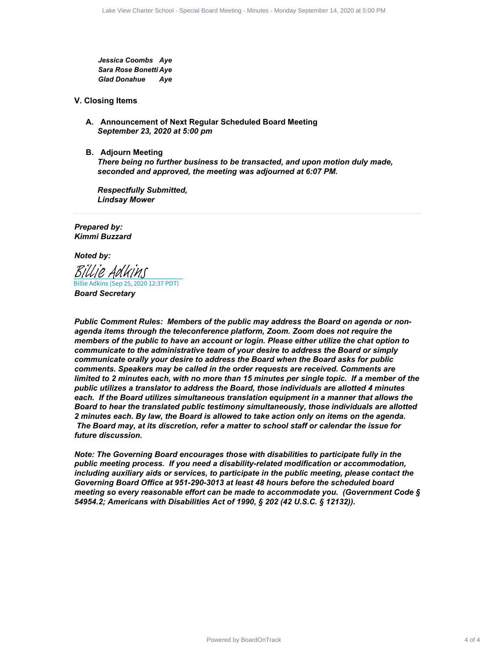*Jessica Coombs Aye Sara Rose Bonetti Aye Glad Donahue Aye*

#### **V. Closing Items**

- **A. Announcement of Next Regular Scheduled Board Meeting** *September 23, 2020 at 5:00 pm*
- **B. Adjourn Meeting**

*There being no further business to be transacted, and upon motion duly made, seconded and approved, the meeting was adjourned at 6:07 PM.*

*Respectfully Submitted, Lindsay Mower*

*Prepared by: Kimmi Buzzard*

*Noted by:*

Billie Adkins (Sep 25, 2020 12:37 PDT) [Billie Adkins](https://na2.documents.adobe.com/verifier?tx=CBJCHBCAABAANHF54G-8R4vYb2qDY8lkDQSWExiJUjb1)

*Board Secretary*

*Public Comment Rules: Members of the public may address the Board on agenda or nonagenda items through the teleconference platform, Zoom. Zoom does not require the members of the public to have an account or login. Please either utilize the chat option to communicate to the administrative team of your desire to address the Board or simply communicate orally your desire to address the Board when the Board asks for public comments. Speakers may be called in the order requests are received. Comments are* limited to 2 minutes each, with no more than 15 minutes per single topic. If a member of the *public utilizes a translator to address the Board, those individuals are allotted 4 minutes each. If the Board utilizes simultaneous translation equipment in a manner that allows the Board to hear the translated public testimony simultaneously, those individuals are allotted 2 minutes each. By law, the Board is allowed to take action only on items on the agenda. The Board may, at its discretion, refer a matter to school staff or calendar the issue for future discussion.* Power Charter School - Special Board View Charter School - Special Board Meeting<br>
ensists Charter School - April 2020<br>
The Rose Rooms Aye<br>
any Rose Rose Rose Rose Meeting - School - Special Board Meeting<br>
In Order Board -

*Note: The Governing Board encourages those with disabilities to participate fully in the public meeting process. If you need a disability-related modification or accommodation, including auxiliary aids or services, to participate in the public meeting, please contact the Governing Board Office at 951-290-3013 at least 48 hours before the scheduled board meeting so every reasonable effort can be made to accommodate you. (Government Code § 54954.2; Americans with Disabilities Act of 1990, § 202 (42 U.S.C. § 12132)).*